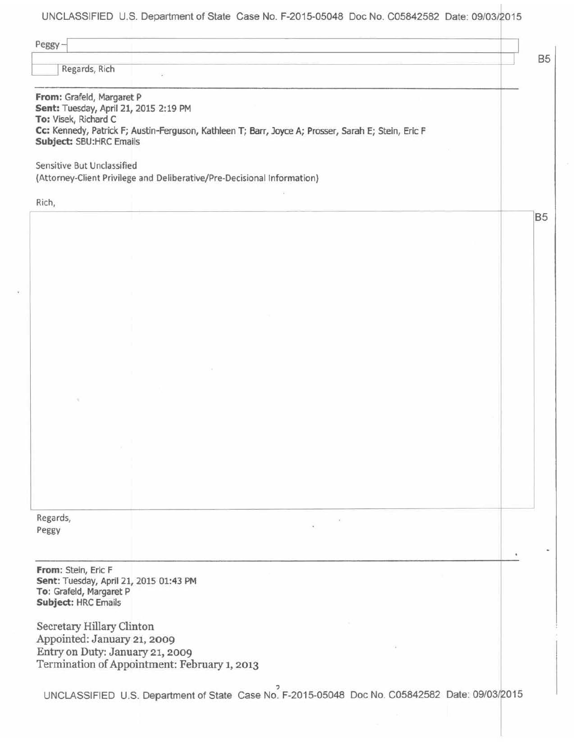UNCLASSIFIED U.S. Department of State Case No. F-2015-05048 Doc No. C05842582 Date: 09/03/2015

| Peggy-<br>Regards, Rich                                                                                               |                                                                                                     | <b>B5</b> |
|-----------------------------------------------------------------------------------------------------------------------|-----------------------------------------------------------------------------------------------------|-----------|
| From: Grafeld, Margaret P<br>Sent: Tuesday, April 21, 2015 2:19 PM<br>To: Visek, Richard C<br>Subject: SBU:HRC Emails | Cc: Kennedy, Patrick F; Austin-Ferguson, Kathleen T; Barr, Joyce A; Prosser, Sarah E; Stein, Eric F |           |
| Sensitive But Unclassified                                                                                            | (Attorney-Client Privilege and Deliberative/Pre-Decisional Information)                             |           |
| Rich,                                                                                                                 |                                                                                                     |           |
|                                                                                                                       |                                                                                                     | <b>B5</b> |
|                                                                                                                       |                                                                                                     |           |
|                                                                                                                       |                                                                                                     |           |
|                                                                                                                       |                                                                                                     |           |
|                                                                                                                       |                                                                                                     |           |
|                                                                                                                       |                                                                                                     |           |
|                                                                                                                       |                                                                                                     |           |
|                                                                                                                       |                                                                                                     |           |
|                                                                                                                       |                                                                                                     |           |
|                                                                                                                       |                                                                                                     |           |
|                                                                                                                       |                                                                                                     |           |
|                                                                                                                       |                                                                                                     |           |
|                                                                                                                       |                                                                                                     |           |
|                                                                                                                       |                                                                                                     |           |
| Regards,                                                                                                              |                                                                                                     |           |
| Peggy                                                                                                                 |                                                                                                     |           |
|                                                                                                                       |                                                                                                     |           |
| From: Stein, Eric F<br>Sent: Tuesday, April 21, 2015 01:43 PM<br>To: Grafeld, Margaret P<br>Subject: HRC Emails       |                                                                                                     |           |
| Secretary Hillary Clinton                                                                                             |                                                                                                     |           |
| Appointed: January 21, 2009<br>Entry on Duty: January 21, 2009                                                        |                                                                                                     |           |
|                                                                                                                       | Termination of Appointment: February 1, 2013                                                        |           |
|                                                                                                                       | UNCLASSIFIED U.S. Department of State Case No. F-2015-05048 Doc No. C05842582 Date: 09/03/2015      |           |
|                                                                                                                       |                                                                                                     |           |